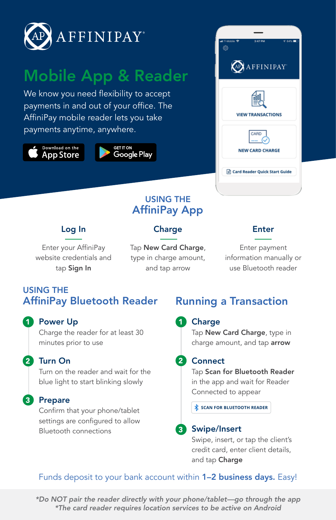

# Mobile App & Reader

We know you need flexibility to accept payments in and out of your office. The AffiniPay mobile reader lets you take payments anytime, anywhere.

Download on the **App Store** 





#### USING THE AffiniPay App

#### Log In

### **Charge**

Enter your AffiniPay website credentials and tap Sign In

Tap New Card Charge, type in charge amount, and tap arrow

#### Enter

Enter payment information manually or use Bluetooth reader

## USING THE AffiniPay Bluetooth Reader

#### 1 Power Up to the Contract of the Contract of the Contract of the Contract of the Contract of the Contract of the Contract of the Contract of the Contract of the Contract of the Contract of the Contract of the Contract of

Charge the reader for at least 30 minutes prior to use

#### Turn On 2 2

Turn on the reader and wait for the blue light to start blinking slowly

#### Prepare 3

Confirm that your phone/tablet settings are configured to allow Bluetooth connections

# Running a Transaction

#### Charge

Tap New Card Charge, type in charge amount, and tap arrow

#### 2 Connect

Tap Scan for Bluetooth Reader in the app and wait for Reader Connected to appear

**SCAN FOR BLUETOOTH READER**

#### Swipe/Insert 3

Swipe, insert, or tap the client's credit card, enter client details, and tap Charge

#### Funds deposit to your bank account within 1-2 business days. Easy!

*\*Do NOT pair the reader directly with your phone/tablet—go through the app \*The card reader requires location services to be active on Android*